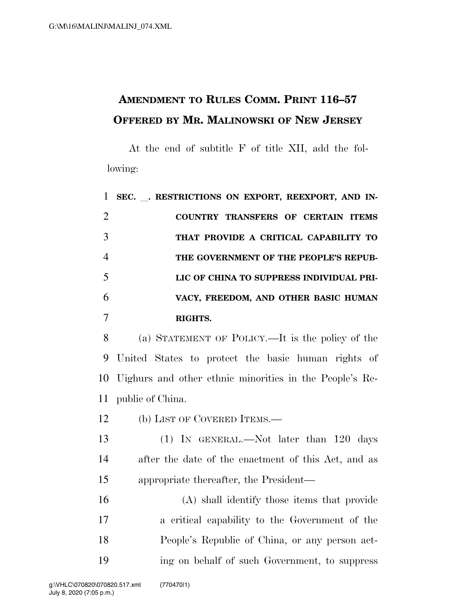## **AMENDMENT TO RULES COMM. PRINT 116–57 OFFERED BY MR. MALINOWSKI OF NEW JERSEY**

At the end of subtitle F of title XII, add the following:

|                | SEC. . RESTRICTIONS ON EXPORT, REEXPORT, AND IN- |
|----------------|--------------------------------------------------|
| 2              | COUNTRY TRANSFERS OF CERTAIN ITEMS               |
| 3              | THAT PROVIDE A CRITICAL CAPABILITY TO            |
| $\overline{4}$ | THE GOVERNMENT OF THE PEOPLE'S REPUB-            |
| 5              | LIC OF CHINA TO SUPPRESS INDIVIDUAL PRI-         |
| 6              | VACY, FREEDOM, AND OTHER BASIC HUMAN             |
|                | RIGHTS.                                          |

 (a) STATEMENT OF POLICY.—It is the policy of the United States to protect the basic human rights of Uighurs and other ethnic minorities in the People's Re-public of China.

12 (b) LIST OF COVERED ITEMS.—

13 (1) IN GENERAL.—Not later than 120 days after the date of the enactment of this Act, and as appropriate thereafter, the President—

 (A) shall identify those items that provide a critical capability to the Government of the People's Republic of China, or any person act-ing on behalf of such Government, to suppress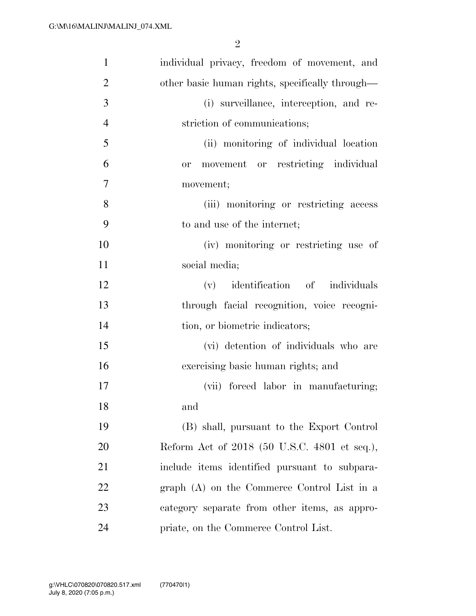| $\mathbf{1}$   | individual privacy, freedom of movement, and    |
|----------------|-------------------------------------------------|
| $\overline{2}$ | other basic human rights, specifically through— |
| 3              | (i) surveillance, interception, and re-         |
| $\overline{4}$ | striction of communications;                    |
| 5              | (ii) monitoring of individual location          |
| 6              | movement or restricting individual<br>or        |
| 7              | movement;                                       |
| 8              | (iii) monitoring or restricting access          |
| 9              | to and use of the internet;                     |
| 10             | (iv) monitoring or restricting use of           |
| 11             | social media;                                   |
| 12             | identification of individuals<br>(v)            |
| 13             | through facial recognition, voice recogni-      |
| 14             | tion, or biometric indicators;                  |
| 15             | (vi) detention of individuals who are           |
| 16             | exercising basic human rights; and              |
| 17             | (vii) forced labor in manufacturing;            |
| 18             | and                                             |
| 19             | (B) shall, pursuant to the Export Control       |
| 20             | Reform Act of 2018 (50 U.S.C. 4801 et seq.),    |
| 21             | include items identified pursuant to subpara-   |
| 22             | graph (A) on the Commerce Control List in a     |
| 23             | category separate from other items, as appro-   |
| 24             | priate, on the Commerce Control List.           |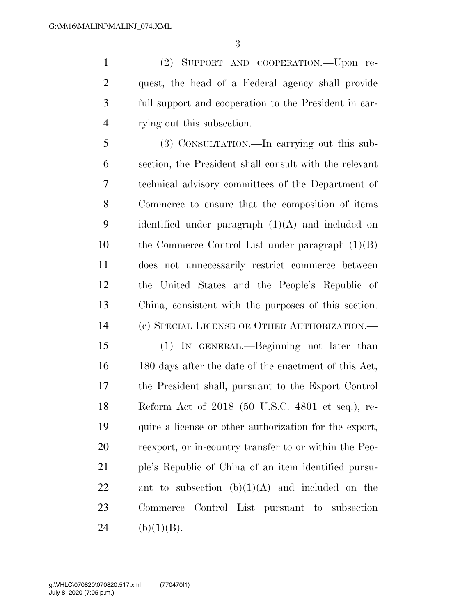(2) SUPPORT AND COOPERATION.—Upon re- quest, the head of a Federal agency shall provide full support and cooperation to the President in car-rying out this subsection.

 (3) CONSULTATION.—In carrying out this sub- section, the President shall consult with the relevant technical advisory committees of the Department of Commerce to ensure that the composition of items 9 identified under paragraph  $(1)(A)$  and included on the Commerce Control List under paragraph (1)(B) does not unnecessarily restrict commerce between the United States and the People's Republic of China, consistent with the purposes of this section. (c) SPECIAL LICENSE OR OTHER AUTHORIZATION.—

 (1) IN GENERAL.—Beginning not later than 180 days after the date of the enactment of this Act, the President shall, pursuant to the Export Control Reform Act of 2018 (50 U.S.C. 4801 et seq.), re- quire a license or other authorization for the export, reexport, or in-country transfer to or within the Peo- ple's Republic of China of an item identified pursu-22 ant to subsection  $(b)(1)(A)$  and included on the Commerce Control List pursuant to subsection 24 (b)(1)(B).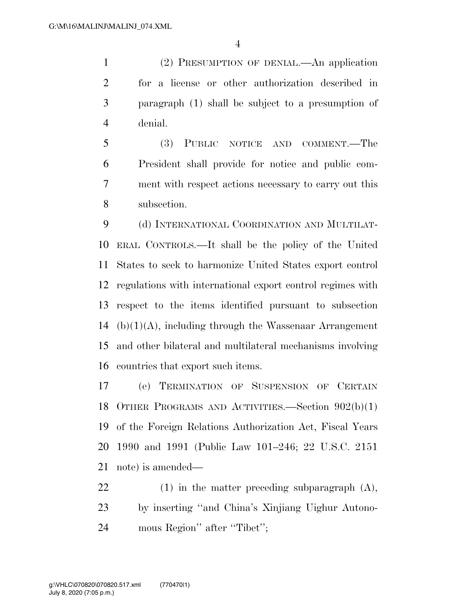(2) PRESUMPTION OF DENIAL.—An application for a license or other authorization described in paragraph (1) shall be subject to a presumption of denial.

 (3) PUBLIC NOTICE AND COMMENT.—The President shall provide for notice and public com- ment with respect actions necessary to carry out this subsection.

 (d) INTERNATIONAL COORDINATION AND MULTILAT- ERAL CONTROLS.—It shall be the policy of the United States to seek to harmonize United States export control regulations with international export control regimes with respect to the items identified pursuant to subsection 14 (b) $(1)(A)$ , including through the Wassenaar Arrangement and other bilateral and multilateral mechanisms involving countries that export such items.

 (e) TERMINATION OF SUSPENSION OF CERTAIN OTHER PROGRAMS AND ACTIVITIES.—Section 902(b)(1) of the Foreign Relations Authorization Act, Fiscal Years 1990 and 1991 (Public Law 101–246; 22 U.S.C. 2151 note) is amended—

 (1) in the matter preceding subparagraph (A), by inserting ''and China's Xinjiang Uighur Autono-mous Region'' after ''Tibet'';